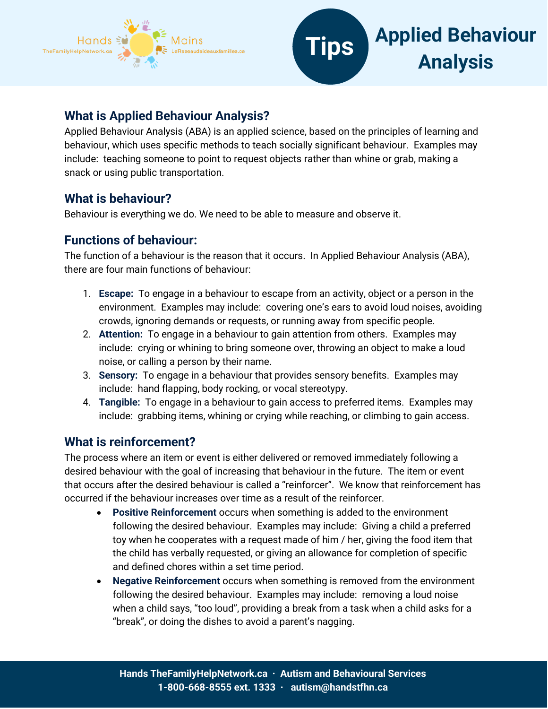



## **What is Applied Behaviour Analysis?**

Applied Behaviour Analysis (ABA) is an applied science, based on the principles of learning and behaviour, which uses specific methods to teach socially significant behaviour. Examples may include: teaching someone to point to request objects rather than whine or grab, making a snack or using public transportation.

## **What is behaviour?**

Behaviour is everything we do. We need to be able to measure and observe it.

# **Functions of behaviour:**

The function of a behaviour is the reason that it occurs. In Applied Behaviour Analysis (ABA), there are four main functions of behaviour:

- 1. **Escape:** To engage in a behaviour to escape from an activity, object or a person in the environment. Examples may include: covering one's ears to avoid loud noises, avoiding crowds, ignoring demands or requests, or running away from specific people.
- 2. **Attention:** To engage in a behaviour to gain attention from others. Examples may include: crying or whining to bring someone over, throwing an object to make a loud noise, or calling a person by their name.
- 3. **Sensory:** To engage in a behaviour that provides sensory benefits. Examples may include: hand flapping, body rocking, or vocal stereotypy.
- 4. **Tangible:** To engage in a behaviour to gain access to preferred items. Examples may include: grabbing items, whining or crying while reaching, or climbing to gain access.

# **What is reinforcement?**

The process where an item or event is either delivered or removed immediately following a desired behaviour with the goal of increasing that behaviour in the future. The item or event that occurs after the desired behaviour is called a "reinforcer". We know that reinforcement has occurred if the behaviour increases over time as a result of the reinforcer.

- **Positive Reinforcement** occurs when something is added to the environment following the desired behaviour. Examples may include: Giving a child a preferred toy when he cooperates with a request made of him / her, giving the food item that the child has verbally requested, or giving an allowance for completion of specific and defined chores within a set time period.
- **Negative Reinforcement** occurs when something is removed from the environment following the desired behaviour. Examples may include: removing a loud noise when a child says, "too loud", providing a break from a task when a child asks for a "break", or doing the dishes to avoid a parent's nagging.